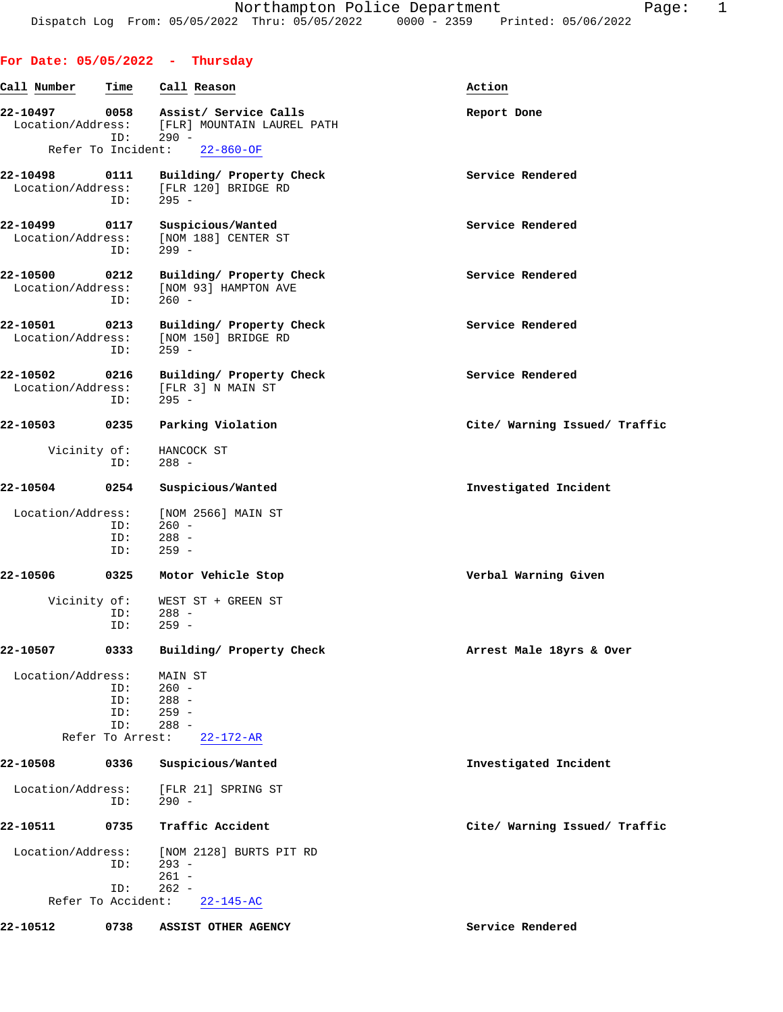**For Date: 05/05/2022 - Thursday**

## **Call Number Time Call Reason Action 22-10497 0058 Assist/ Service Calls Report Done** Location/Address: [FLR] MOUNTAIN LAUREL PATH ID: 290 - Refer To Incident: 22-860-OF 22-10498 0111 Building/ Property Check **Service Rendered Service Rendered Internal Service Rendered** [FLR 120] BRIDGE RD<br>295 - $ID:$ **22-10499 0117 Suspicious/Wanted Service Rendered** Location/Address: [NOM 188] CENTER ST<br>ID: 299 - ID: 299 - **22-10500 0212 Building/ Property Check Service Rendered** Location/Address: [NOM 93] HAMPTON AVE ID: 260 - **22-10501 0213 Building/ Property Check Service Rendered** Execution/Address: [NOM 150] BRIDGE RD ess: [NOM 150] BRIDGE RD<br>ID: 259 - ID: 259 - **22-10502 0216 Building/ Property Check Service Rendered** Location/Address: [FLR 3] N MAIN ST<br>ID: 295 - $ID:$ **22-10503 0235 Parking Violation Cite/ Warning Issued/ Traffic** Vicinity of: HANCOCK ST ID: 288 - **22-10504 0254 Suspicious/Wanted Investigated Incident** Location/Address: [NOM 2566] MAIN ST<br>ID: 260 - ID: 260 - ID: 288 - ID: 259 - **22-10506 0325 Motor Vehicle Stop Verbal Warning Given** Vicinity of: WEST ST + GREEN ST ID: 288 -<br>ID: 259 - ID: 259 - **22-10507 0333 Building/ Property Check Arrest Male 18yrs & Over** Location/Address: MAIN ST<br>ID: 260 - $260 -$  ID: 288 - ID: 259 - ID: 288 - Refer To Arrest: 22-172-AR **22-10508 0336 Suspicious/Wanted Investigated Incident** Location/Address: [FLR 21] SPRING ST ID: 290 - **22-10511 0735 Traffic Accident Cite/ Warning Issued/ Traffic** Location/Address: [NOM 2128] BURTS PIT RD ID: 293 - 261 -<br>ID: 262 - ID: 262 - Refer To Accident: 22-145-AC **22-10512 0738 ASSIST OTHER AGENCY Service Rendered**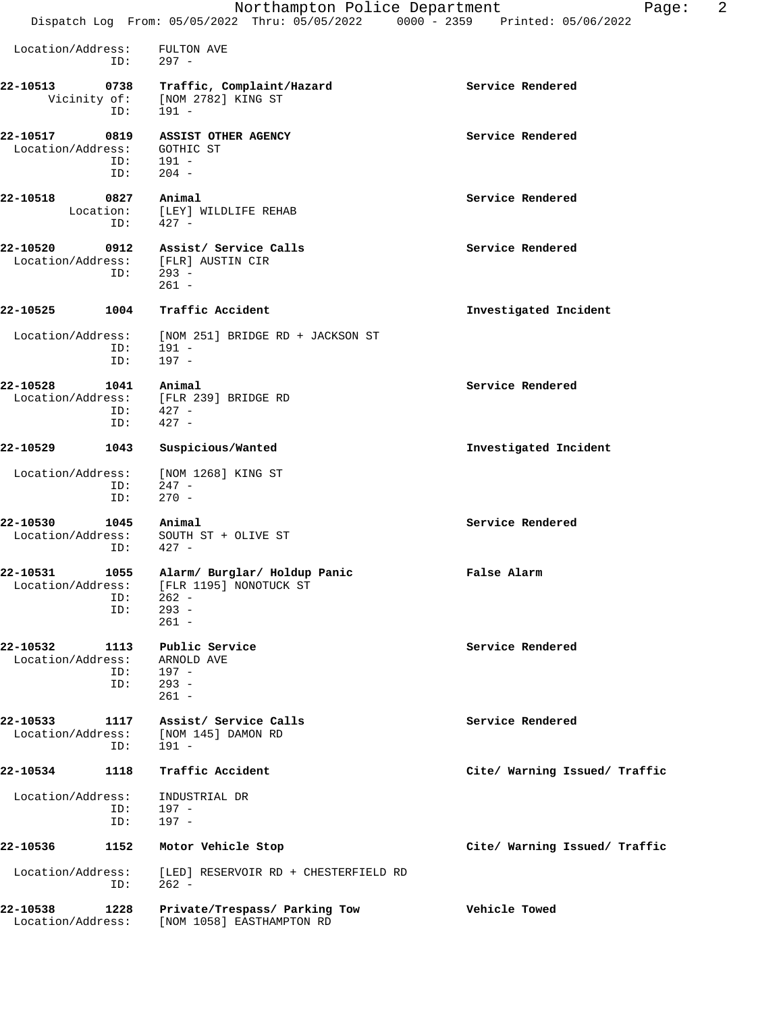|                                                               | Northampton Police Department<br>Dispatch Log From: 05/05/2022 Thru: 05/05/2022 0000 - 2359 Printed: 05/06/2022 | 2<br>Page:                    |
|---------------------------------------------------------------|-----------------------------------------------------------------------------------------------------------------|-------------------------------|
| Location/Address:<br>ID:                                      | FULTON AVE<br>$297 -$                                                                                           |                               |
|                                                               |                                                                                                                 |                               |
| 22-10513<br>0738<br>ID:                                       | Traffic, Complaint/Hazard<br>Vicinity of: [NOM 2782] KING ST<br>$191 -$                                         | Service Rendered              |
| 22-10517<br>0819<br>Location/Address:<br>ID:<br>ID:           | ASSIST OTHER AGENCY<br>GOTHIC ST<br>191 -<br>$204 -$                                                            | Service Rendered              |
| 22-10518<br>0827<br>Location:<br>ID:                          | Animal<br>[LEY] WILDLIFE REHAB<br>$427 -$                                                                       | Service Rendered              |
| 22-10520<br>0912<br>Location/Address: [FLR] AUSTIN CIR<br>ID: | Assist/ Service Calls<br>$293 -$<br>$261 -$                                                                     | Service Rendered              |
| 22-10525<br>1004                                              | Traffic Accident                                                                                                | Investigated Incident         |
| Location/Address:<br>ID:<br>ID:                               | [NOM 251] BRIDGE RD + JACKSON ST<br>191 -<br>$197 -$                                                            |                               |
| 22-10528<br>1041<br>Location/Address:<br>ID:<br>ID:           | Animal<br>[FLR 239] BRIDGE RD<br>$427 -$<br>$427 -$                                                             | Service Rendered              |
| 22-10529<br>1043                                              | Suspicious/Wanted                                                                                               | Investigated Incident         |
| Location/Address:<br>ID:<br>ID:                               | [NOM 1268] KING ST<br>247 -<br>$270 -$                                                                          |                               |
| 22-10530<br>1045<br>Location/Address:<br>ID:                  | Animal<br>SOUTH ST + OLIVE ST<br>$427 -$                                                                        | Service Rendered              |
| 22-10531<br>Location/Address:<br>ID:                          | 1055 Alarm/ Burglar/ Holdup Panic<br>[FLR 1195] NONOTUCK ST<br>$262 -$<br>ID: 293 -<br>$261 -$                  | False Alarm                   |
| 22-10532<br>1113<br>Location/Address:<br>ID:<br>ID:           | Public Service<br>ARNOLD AVE<br>197 -<br>$293 -$<br>$261 -$                                                     | Service Rendered              |
| 22-10533<br>1117<br>Location/Address:<br>ID:                  | Assist/ Service Calls<br>[NOM 145] DAMON RD<br>191 -                                                            | Service Rendered              |
| 22-10534<br>1118                                              | Traffic Accident                                                                                                | Cite/ Warning Issued/ Traffic |
| Location/Address:<br>ID:<br>ID:                               | INDUSTRIAL DR<br>197 -<br>197 -                                                                                 |                               |
| 22-10536<br>1152                                              | Motor Vehicle Stop                                                                                              | Cite/ Warning Issued/ Traffic |
| Location/Address:<br>ID:                                      | [LED] RESERVOIR RD + CHESTERFIELD RD<br>$262 -$                                                                 |                               |
| 22-10538<br>1228<br>Location/Address:                         | Private/Trespass/ Parking Tow<br>[NOM 1058] EASTHAMPTON RD                                                      | Vehicle Towed                 |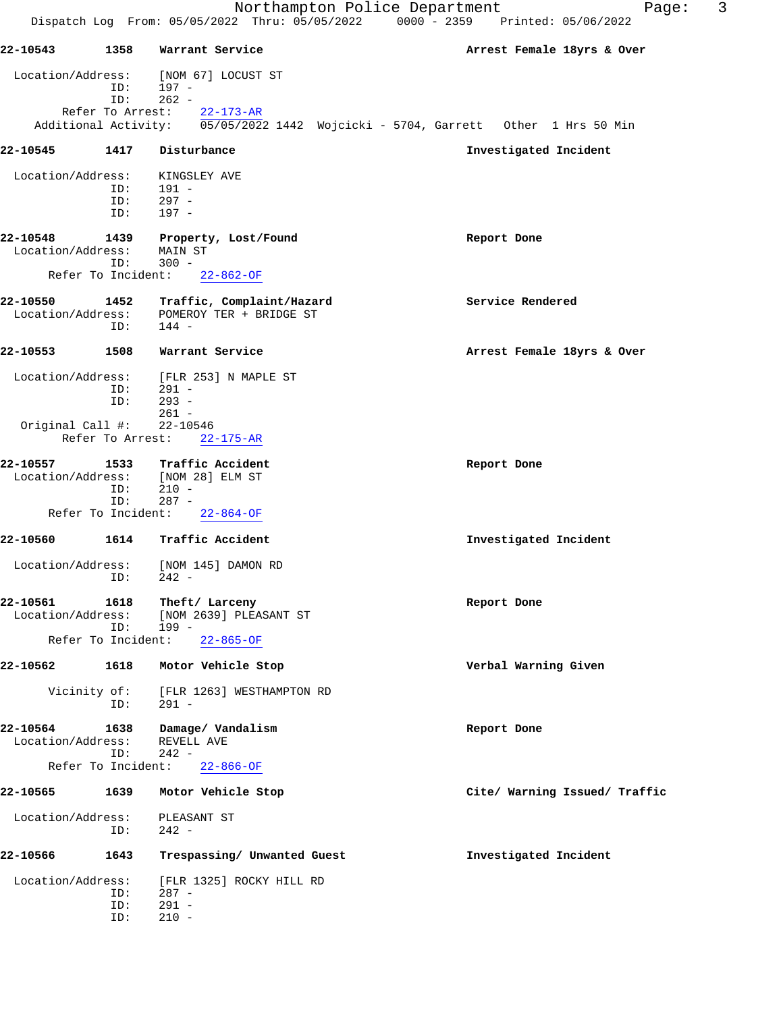|                               |                                          |                                                                              | 3<br>Northampton Police Department<br>Page:<br>Dispatch Log From: 05/05/2022 Thru: 05/05/2022 0000 - 2359 Printed: 05/06/2022 |
|-------------------------------|------------------------------------------|------------------------------------------------------------------------------|-------------------------------------------------------------------------------------------------------------------------------|
| 22-10543                      | 1358                                     | Warrant Service                                                              | Arrest Female 18yrs & Over                                                                                                    |
| Location/Address:             | ID:<br>ID:                               | [NOM 67] LOCUST ST<br>197 -<br>$262 -$                                       |                                                                                                                               |
|                               | Refer To Arrest:                         | $22 - 173 - AR$                                                              | Additional Activity: 05/05/2022 1442 Wojcicki - 5704, Garrett Other 1 Hrs 50 Min                                              |
| 22-10545                      | 1417                                     | Disturbance                                                                  | Investigated Incident                                                                                                         |
| Location/Address:             | ID:<br>ID:<br>ID:                        | KINGSLEY AVE<br>191 -<br>$297 -$<br>197 -                                    |                                                                                                                               |
| 22-10548<br>Location/Address: | 1439<br>ID:                              | Property, Lost/Found<br>MAIN ST<br>$300 -$                                   | Report Done                                                                                                                   |
|                               | Refer To Incident:                       | $22 - 862 - OF$                                                              |                                                                                                                               |
| 22-10550<br>Location/Address: | 1452<br>ID:                              | Traffic, Complaint/Hazard<br>POMEROY TER + BRIDGE ST<br>$144 -$              | Service Rendered                                                                                                              |
| 22-10553                      | 1508                                     | Warrant Service                                                              | Arrest Female 18yrs & Over                                                                                                    |
| Location/Address:             | ID:<br>ID:                               | [FLR 253] N MAPLE ST<br>$291 -$<br>$293 -$<br>$261 -$                        |                                                                                                                               |
| Original Call #:              | Refer To Arrest:                         | 22-10546<br>$22 - 175 - AR$                                                  |                                                                                                                               |
| 22-10557<br>Location/Address: | 1533<br>ID:<br>ID:<br>Refer To Incident: | Traffic Accident<br>[NOM 28] ELM ST<br>$210 -$<br>$287 -$<br>$22 - 864 - OF$ | Report Done                                                                                                                   |
| 22-10560                      | 1614                                     | Traffic Accident                                                             | Investigated Incident                                                                                                         |
| Location/Address:             | ID:                                      | [NOM 145] DAMON RD<br>242 -                                                  |                                                                                                                               |
| 22-10561<br>Location/Address: | 1618<br>ID:<br>Refer To Incident:        | Theft/ Larceny<br>[NOM 2639] PLEASANT ST<br>199 -<br>$22 - 865 - OF$         | Report Done                                                                                                                   |
| 22-10562                      | 1618                                     | Motor Vehicle Stop                                                           | Verbal Warning Given                                                                                                          |
|                               | Vicinity of:<br>ID:                      | [FLR 1263] WESTHAMPTON RD<br>291 -                                           |                                                                                                                               |
| 22-10564<br>Location/Address: | 1638<br>ID:                              | Damage/ Vandalism<br>REVELL AVE<br>$242 -$                                   | Report Done                                                                                                                   |
|                               |                                          | Refer To Incident: 22-866-OF                                                 |                                                                                                                               |
| 22-10565                      | 1639                                     | Motor Vehicle Stop                                                           | Cite/ Warning Issued/ Traffic                                                                                                 |
| Location/Address:             | ID:                                      | PLEASANT ST<br>$242 -$                                                       |                                                                                                                               |
| 22-10566                      | 1643                                     | Trespassing/ Unwanted Guest                                                  | Investigated Incident                                                                                                         |
| Location/Address:             | ID:<br>ID:<br>ID:                        | [FLR 1325] ROCKY HILL RD<br>$287 -$<br>$291 -$<br>$210 -$                    |                                                                                                                               |